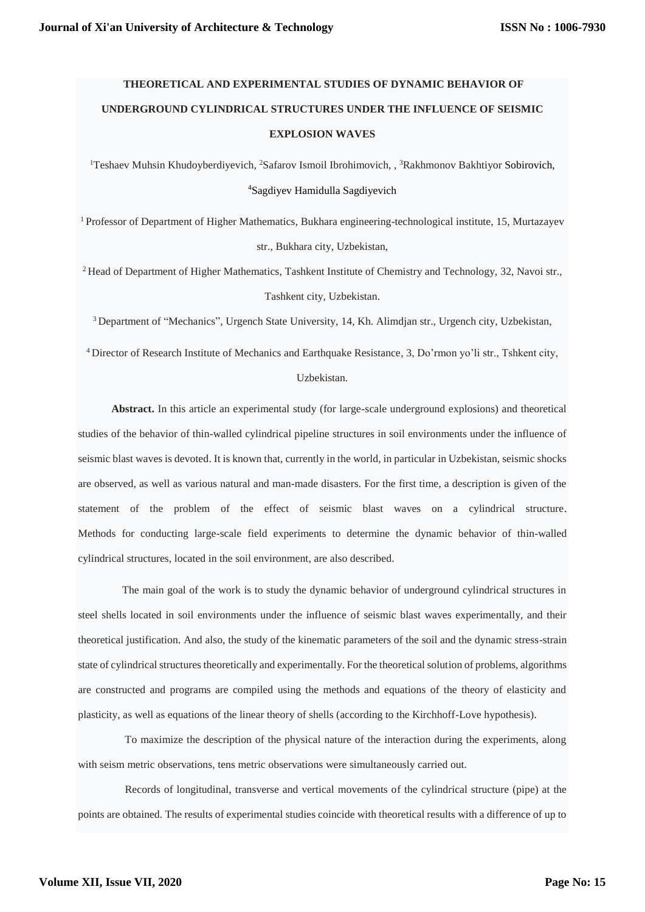# **THEORETICAL AND EXPERIMENTAL STUDIES OF DYNAMIC BEHAVIOR OF UNDERGROUND CYLINDRICAL STRUCTURES UNDER THE INFLUENCE OF SEISMIC EXPLOSION WAVES**

<sup>1</sup>Teshaev Muhsin Khudoyberdiyevich, <sup>2</sup>Safarov Ismoil Ibrohimovich, , <sup>3</sup>Rakhmonov Bakhtiyor Sobirovich, <sup>4</sup>Sagdiyev Hamidulla Sagdiyevich

<sup>1</sup> Professor of Department of Higher Mathematics, Bukhara engineering-technological institute, 15, Murtazayev str., Bukhara city, Uzbekistan,

<sup>2</sup> Head of Department of Higher Mathematics, Tashkent Institute of Chemistry and Technology, 32, Navoi str., Tashkent city, Uzbekistan.

<sup>3</sup>Department of "Mechanics", Urgench State University, 14, Kh. Alimdjan str., Urgench city, Uzbekistan,

<sup>4</sup> Director of Research Institute of Mechanics and Earthquake Resistance, 3, Do'rmon yo'li str., Tshkent city,

## Uzbekistan.

**Abstract.** In this article an experimental study (for large-scale underground explosions) and theoretical studies of the behavior of thin-walled cylindrical pipeline structures in soil environments under the influence of seismic blast waves is devoted. It is known that, currently in the world, in particular in Uzbekistan, seismic shocks are observed, as well as various natural and man-made disasters. For the first time, a description is given of the statement of the problem of the effect of seismic blast waves on a cylindrical structure. Methods for conducting large-scale field experiments to determine the dynamic behavior of thin-walled cylindrical structures, located in the soil environment, are also described.

 The main goal of the work is to study the dynamic behavior of underground cylindrical structures in steel shells located in soil environments under the influence of seismic blast waves experimentally, and their theoretical justification. And also, the study of the kinematic parameters of the soil and the dynamic stress-strain state of cylindrical structures theoretically and experimentally. For the theoretical solution of problems, algorithms are constructed and programs are compiled using the methods and equations of the theory of elasticity and plasticity, as well as equations of the linear theory of shells (according to the Kirchhoff-Love hypothesis).

 To maximize the description of the physical nature of the interaction during the experiments, along with seism metric observations, tens metric observations were simultaneously carried out.

 Records of longitudinal, transverse and vertical movements of the cylindrical structure (pipe) at the points are obtained. The results of experimental studies coincide with theoretical results with a difference of up to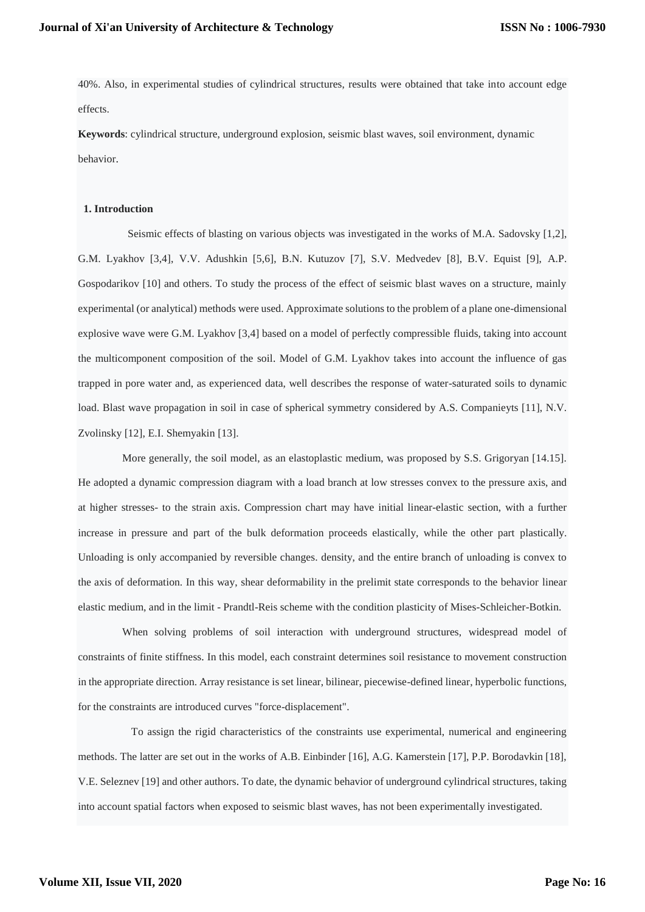40%. Also, in experimental studies of cylindrical structures, results were obtained that take into account edge effects.

**Keywords**: cylindrical structure, underground explosion, seismic blast waves, soil environment, dynamic behavior.

## **1. Introduction**

 Seismic effects of blasting on various objects was investigated in the works of M.A. Sadovsky [1,2], G.M. Lyakhov [3,4], V.V. Adushkin [5,6], B.N. Kutuzov [7], S.V. Medvedev [8], B.V. Equist [9], A.P. Gospodarikov [10] and others. To study the process of the effect of seismic blast waves on a structure, mainly experimental (or analytical) methods were used. Approximate solutions to the problem of a plane one-dimensional explosive wave were G.M. Lyakhov [3,4] based on a model of perfectly compressible fluids, taking into account the multicomponent composition of the soil. Model of G.M. Lyakhov takes into account the influence of gas trapped in pore water and, as experienced data, well describes the response of water-saturated soils to dynamic load. Blast wave propagation in soil in case of spherical symmetry considered by A.S. Companieyts [11], N.V. Zvolinsky [12], E.I. Shemyakin [13].

 More generally, the soil model, as an elastoplastic medium, was proposed by S.S. Grigoryan [14.15]. He adopted a dynamic compression diagram with a load branch at low stresses convex to the pressure axis, and at higher stresses- to the strain axis. Compression chart may have initial linear-elastic section, with a further increase in pressure and part of the bulk deformation proceeds elastically, while the other part plastically. Unloading is only accompanied by reversible changes. density, and the entire branch of unloading is convex to the axis of deformation. In this way, shear deformability in the prelimit state corresponds to the behavior linear elastic medium, and in the limit - Prandtl-Reis scheme with the condition plasticity of Mises-Schleicher-Botkin.

 When solving problems of soil interaction with underground structures, widespread model of constraints of finite stiffness. In this model, each constraint determines soil resistance to movement construction in the appropriate direction. Array resistance is set linear, bilinear, piecewise-defined linear, hyperbolic functions, for the constraints are introduced curves "force-displacement".

 To assign the rigid characteristics of the constraints use experimental, numerical and engineering methods. The latter are set out in the works of A.B. Einbinder [16], A.G. Kamerstein [17], P.P. Borodavkin [18], V.E. Seleznev [19] and other authors. To date, the dynamic behavior of underground cylindrical structures, taking into account spatial factors when exposed to seismic blast waves, has not been experimentally investigated.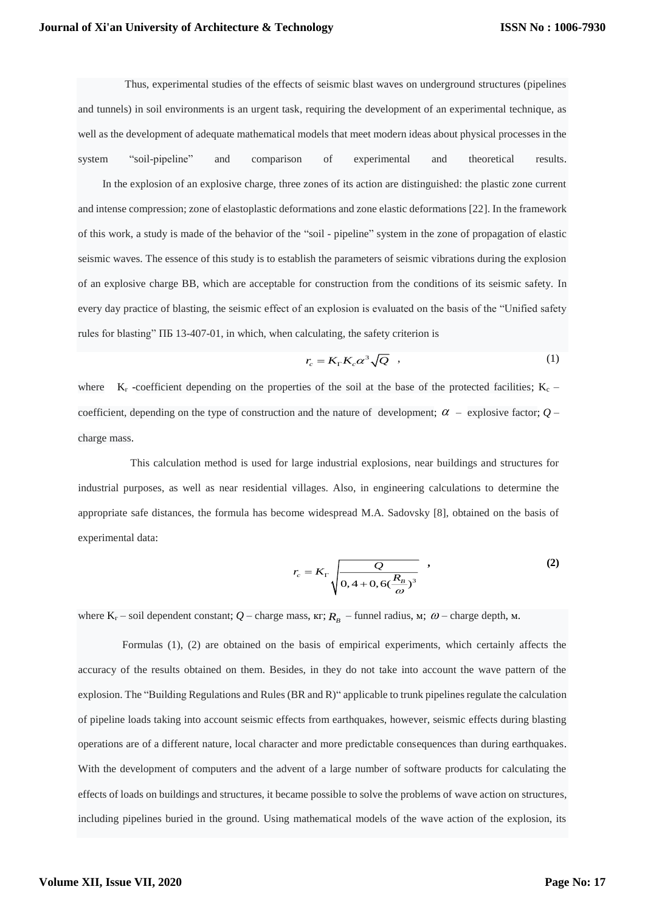Thus, experimental studies of the effects of seismic blast waves on underground structures (pipelines and tunnels) in soil environments is an urgent task, requiring the development of an experimental technique, as well as the development of adequate mathematical models that meet modern ideas about physical processes in the system "soil-pipeline" and comparison of experimental and theoretical results.

In the explosion of an explosive charge, three zones of its action are distinguished: the plastic zone current and intense compression; zone of elastoplastic deformations and zone elastic deformations [22]. In the framework of this work, a study is made of the behavior of the "soil - pipeline" system in the zone of propagation of elastic seismic waves. The essence of this study is to establish the parameters of seismic vibrations during the explosion of an explosive charge BB, which are acceptable for construction from the conditions of its seismic safety. In every day practice of blasting, the seismic effect of an explosion is evaluated on the basis of the "Unified safety rules for blasting" ПБ 13-407-01, in which, when calculating, the safety criterion is

$$
r_c = K_{\rm r} K_c \alpha^3 \sqrt{Q} \quad , \tag{1}
$$

where  $K_r$  -coefficient depending on the properties of the soil at the base of the protected facilities;  $K_c$  – coefficient, depending on the type of construction and the nature of development;  $\alpha$  – explosive factor;  $Q$  – charge mass.

This calculation method is used for large industrial explosions, near buildings and structures for industrial purposes, as well as near residential villages. Also, in engineering calculations to determine the appropriate safe distances, the formula has become widespread M.A. Sadovsky [8], obtained on the basis of experimental data:

$$
r_c = K_{\Gamma} \sqrt{\frac{Q}{0.4 + 0.6(\frac{R_B}{\omega})^3}} \tag{2}
$$

where  $K_r$  – soil dependent constant;  $Q$  – charge mass,  $\kappa r$ ;  $R_p$  – funnel radius,  $\kappa r$ ;  $\omega$  – charge depth,  $\kappa r$ .

 Formulas (1), (2) are obtained on the basis of empirical experiments, which certainly affects the accuracy of the results obtained on them. Besides, in they do not take into account the wave pattern of the explosion. The "Building Regulations and Rules (BR and R)" applicable to trunk pipelines regulate the calculation of pipeline loads taking into account seismic effects from earthquakes, however, seismic effects during blasting operations are of a different nature, local character and more predictable consequences than during earthquakes. With the development of computers and the advent of a large number of software products for calculating the effects of loads on buildings and structures, it became possible to solve the problems of wave action on structures, including pipelines buried in the ground. Using mathematical models of the wave action of the explosion, its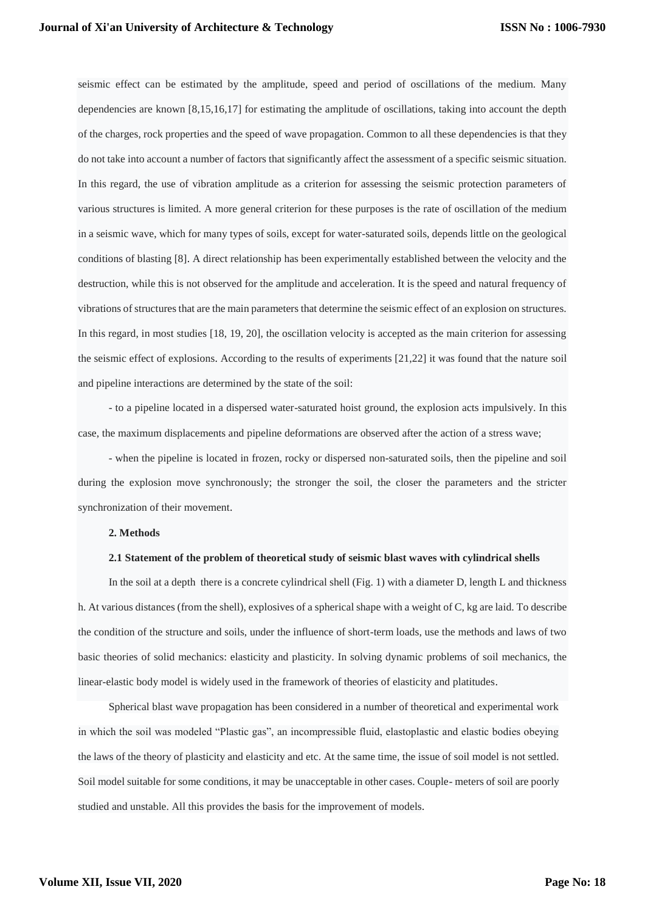seismic effect can be estimated by the amplitude, speed and period of oscillations of the medium. Many dependencies are known [8,15,16,17] for estimating the amplitude of oscillations, taking into account the depth of the charges, rock properties and the speed of wave propagation. Common to all these dependencies is that they do not take into account a number of factors that significantly affect the assessment of a specific seismic situation. In this regard, the use of vibration amplitude as a criterion for assessing the seismic protection parameters of various structures is limited. A more general criterion for these purposes is the rate of oscillation of the medium in a seismic wave, which for many types of soils, except for water-saturated soils, depends little on the geological conditions of blasting [8]. A direct relationship has been experimentally established between the velocity and the destruction, while this is not observed for the amplitude and acceleration. It is the speed and natural frequency of vibrations of structures that are the main parameters that determine the seismic effect of an explosion on structures. In this regard, in most studies [18, 19, 20], the oscillation velocity is accepted as the main criterion for assessing the seismic effect of explosions. According to the results of experiments [21,22] it was found that the nature soil and pipeline interactions are determined by the state of the soil:

- to a pipeline located in a dispersed water-saturated hoist ground, the explosion acts impulsively. In this case, the maximum displacements and pipeline deformations are observed after the action of a stress wave;

- when the pipeline is located in frozen, rocky or dispersed non-saturated soils, then the pipeline and soil during the explosion move synchronously; the stronger the soil, the closer the parameters and the stricter synchronization of their movement.

#### **2. Methods**

#### **2.1 Statement of the problem of theoretical study of seismic blast waves with cylindrical shells**

In the soil at a depth there is a concrete cylindrical shell (Fig. 1) with a diameter D, length L and thickness h. At various distances (from the shell), explosives of a spherical shape with a weight of C, kg are laid. To describe the condition of the structure and soils, under the influence of short-term loads, use the methods and laws of two basic theories of solid mechanics: elasticity and plasticity. In solving dynamic problems of soil mechanics, the linear-elastic body model is widely used in the framework of theories of elasticity and platitudes.

Spherical blast wave propagation has been considered in a number of theoretical and experimental work in which the soil was modeled "Plastic gas", an incompressible fluid, elastoplastic and elastic bodies obeying the laws of the theory of plasticity and elasticity and etc. At the same time, the issue of soil model is not settled. Soil model suitable for some conditions, it may be unacceptable in other cases. Couple- meters of soil are poorly studied and unstable. All this provides the basis for the improvement of models.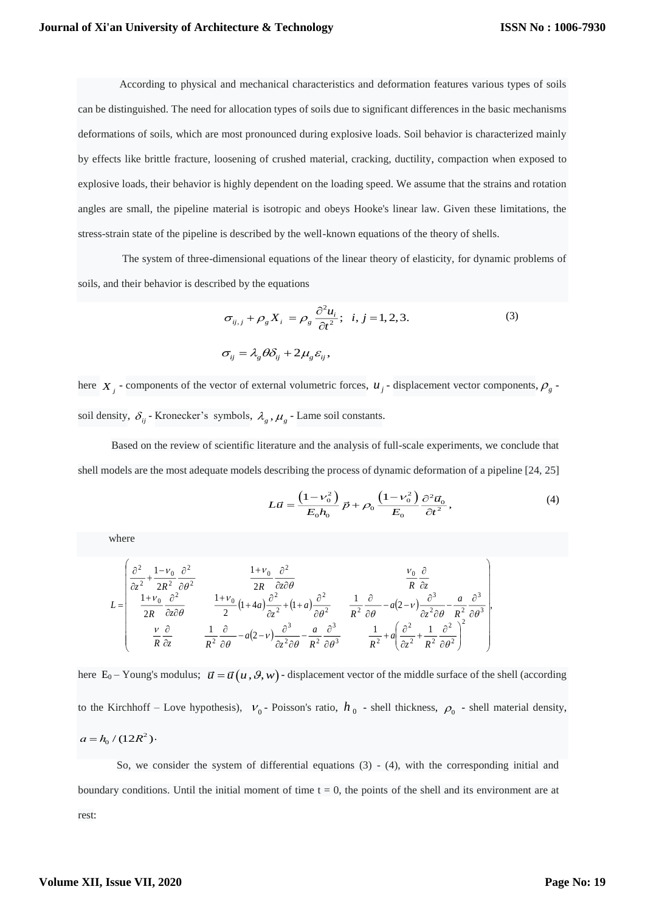According to physical and mechanical characteristics and deformation features various types of soils can be distinguished. The need for allocation types of soils due to significant differences in the basic mechanisms deformations of soils, which are most pronounced during explosive loads. Soil behavior is characterized mainly by effects like brittle fracture, loosening of crushed material, cracking, ductility, compaction when exposed to explosive loads, their behavior is highly dependent on the loading speed. We assume that the strains and rotation angles are small, the pipeline material is isotropic and obeys Hooke's linear law. Given these limitations, the stress-strain state of the pipeline is described by the well-known equations of the theory of shells.

 The system of three-dimensional equations of the linear theory of elasticity, for dynamic problems of soils, and their behavior is described by the equations

$$
\sigma_{ij,j} + \rho_g X_i = \rho_g \frac{\partial^2 u_i}{\partial t^2}; \quad i, j = 1, 2, 3.
$$
\n
$$
\sigma_{ij} = \lambda_g \theta \delta_{ij} + 2\mu_g \varepsilon_{ij},
$$
\n(3)

here  $X_j$  - components of the vector of external volumetric forces,  $u_j$  - displacement vector components,  $\rho_g$  soil density,  $\delta_{ij}$  - Kronecker's symbols,  $\lambda_g$ ,  $\mu_g$  - Lame soil constants.

Based on the review of scientific literature and the analysis of full-scale experiments, we conclude that shell models are the most adequate models describing the process of dynamic deformation of a pipeline [24, 25]

$$
L\vec{u} = \frac{\left(1 - \nu_0^2\right)}{E_0 h_0} \vec{p} + \rho_0 \frac{\left(1 - \nu_0^2\right)}{E_0} \frac{\partial^2 \vec{u}_0}{\partial t^2},\tag{4}
$$

where

$$
L = \begin{pmatrix} \frac{\partial^2}{\partial z^2} + \frac{1 - \nu_0}{2R^2} \frac{\partial^2}{\partial \theta^2} & \frac{1 + \nu_0}{2R} \frac{\partial^2}{\partial z \partial \theta} & \frac{\nu_0}{R} \frac{\partial}{\partial z} \\ \frac{1 + \nu_0}{2R} \frac{\partial^2}{\partial z \partial \theta} & \frac{1 + \nu_0}{2} (1 + 4a) \frac{\partial^2}{\partial z^2} + (1 + a) \frac{\partial^2}{\partial \theta^2} & \frac{1}{R^2} \frac{\partial}{\partial \theta} - a(2 - \nu) \frac{\partial^3}{\partial z^2 \partial \theta} - \frac{a}{R^2} \frac{\partial^3}{\partial \theta^3} \\ \frac{\nu}{R} \frac{\partial}{\partial z} & \frac{1}{R^2} \frac{\partial}{\partial \theta} - a(2 - \nu) \frac{\partial^3}{\partial z^2 \partial \theta} - \frac{a}{R^2} \frac{\partial^3}{\partial \theta^3} & \frac{1}{R^2} + a \left( \frac{\partial^2}{\partial z^2} + \frac{1}{R^2} \frac{\partial^2}{\partial \theta^2} \right)^2 \end{pmatrix}
$$

here  $E_0$  – Young's modulus;  $\vec{u} = \vec{u}(u, \theta, w)$  - displacement vector of the middle surface of the shell (according to the Kirchhoff – Love hypothesis),  $V_0$ -Poisson's ratio,  $h_0$ -shell thickness,  $\rho_0$ -shell material density,  $a = h_0 / (12R^2)$ .

 So, we consider the system of differential equations (3) - (4), with the corresponding initial and boundary conditions. Until the initial moment of time  $t = 0$ , the points of the shell and its environment are at rest: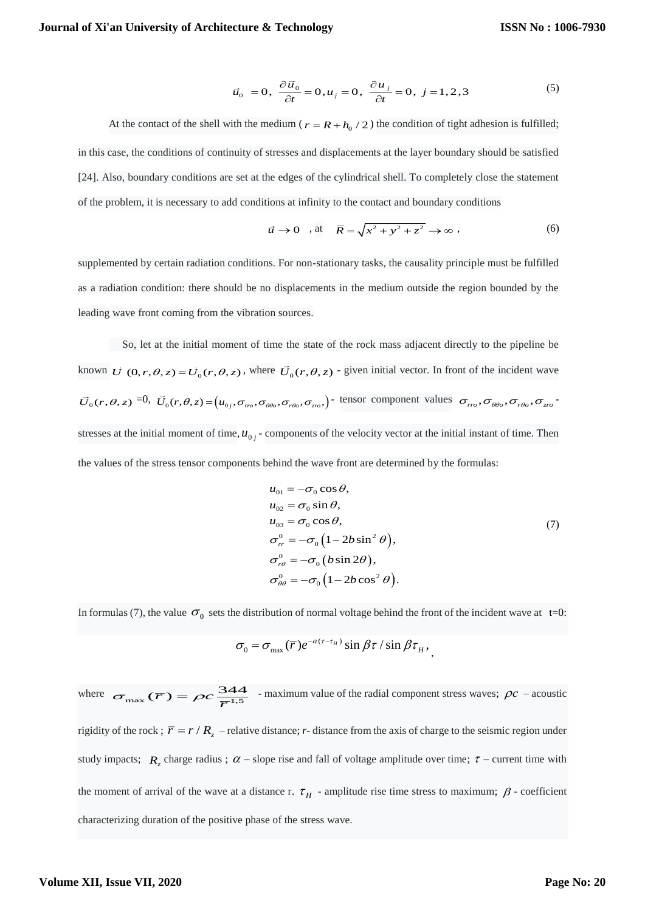$$
\vec{u}_0 = 0, \ \frac{\partial \vec{u}_0}{\partial t} = 0, u_j = 0, \ \frac{\partial u_j}{\partial t} = 0, \ j = 1, 2, 3 \tag{5}
$$

At the contact of the shell with the medium ( $r = R + h_0 / 2$ ) the condition of tight adhesion is fulfilled; in this case, the conditions of continuity of stresses and displacements at the layer boundary should be satisfied [24]. Also, boundary conditions are set at the edges of the cylindrical shell. To completely close the statement of the problem, it is necessary to add conditions at infinity to the contact and boundary conditions

$$
\vec{u} \to 0 \quad \text{at} \quad \overline{R} = \sqrt{x^2 + y^2 + z^2} \to \infty \tag{6}
$$

supplemented by certain radiation conditions. For non-stationary tasks, the causality principle must be fulfilled as a radiation condition: there should be no displacements in the medium outside the region bounded by the leading wave front coming from the vibration sources.

 So, let at the initial moment of time the state of the rock mass adjacent directly to the pipeline be known  $\vec{U}(0,r,\theta,z) = \vec{U}_0(r,\theta,z)$ , where  $\vec{U}_0(r,\theta,z)$  - given initial vector. In front of the incident wave  $\vec{U}_0(r,\theta,z) = 0$ ,  $\vec{U}_0(r,\theta,z) = (u_{0j}, \sigma_{\eta\sigma}, \sigma_{\theta\theta\sigma}, \sigma_{\tau\theta\sigma}, \sigma_{z\sigma})$  tensor component values  $\sigma_{rr\sigma}, \sigma_{\theta\theta\sigma}, \sigma_{\tau\theta\sigma}, \sigma_{z\sigma}$ stresses at the initial moment of time,  $u_{0j}$  - components of the velocity vector at the initial instant of time. Then the values of the stress tensor components behind the wave front are determined by the formulas:

$$
u_{01} = -\sigma_0 \cos \theta,
$$
  
\n
$$
u_{02} = \sigma_0 \sin \theta,
$$
  
\n
$$
u_{03} = \sigma_0 \cos \theta,
$$
  
\n
$$
\sigma_{rr}^{0} = -\sigma_0 (1 - 2b \sin^2 \theta),
$$
  
\n
$$
\sigma_{r\theta}^{0} = -\sigma_0 (b \sin 2\theta),
$$
  
\n
$$
\sigma_{\theta\theta}^{0} = -\sigma_0 (1 - 2b \cos^2 \theta).
$$
\n(7)

In formulas (7), the value  $\sigma_0$  sets the distribution of normal voltage behind the front of the incident wave at t=0:

$$
\sigma_0 = \sigma_{\text{max}}(\overline{r})e^{-\alpha(\tau-\tau_H)}\sin \beta \tau / \sin \beta \tau_H,
$$

where  $\sigma_{\text{max}}(\overline{r}) = \rho c \frac{344}{\overline{r}^{1.5}}$  - maximum value of the radial component stress waves;  $\rho c$  – acoustic rigidity of the rock;  $\overline{r} = r/R_z$  – relative distance; *r*-distance from the axis of charge to the seismic region under study impacts;  $R_z$  charge radius;  $\alpha$  – slope rise and fall of voltage amplitude over time;  $\tau$  – current time with the moment of arrival of the wave at a distance r.  $\tau$ <sub>H</sub> - amplitude rise time stress to maximum;  $\beta$  - coefficient characterizing duration of the positive phase of the stress wave.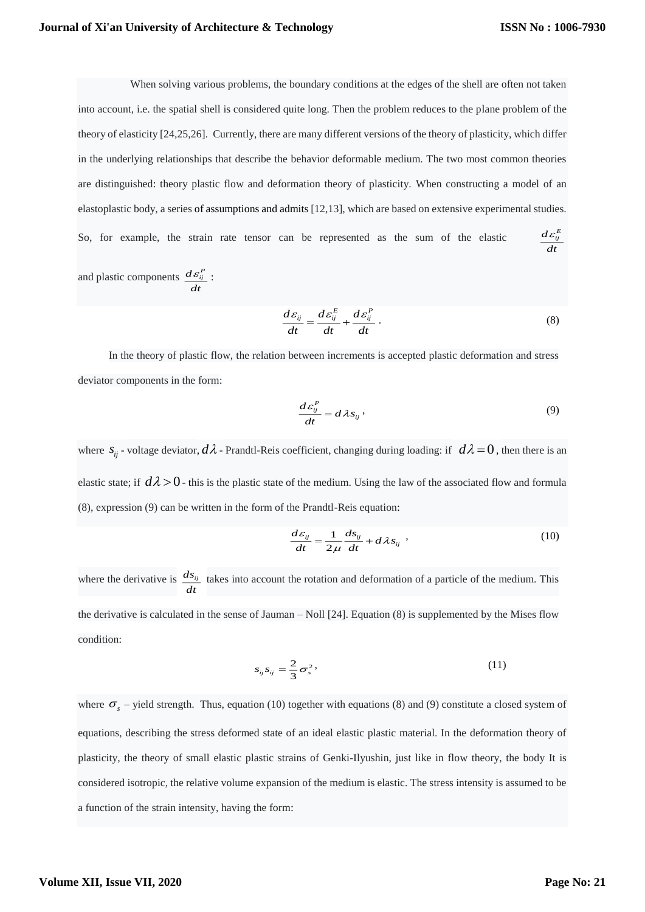When solving various problems, the boundary conditions at the edges of the shell are often not taken into account, i.e. the spatial shell is considered quite long. Then the problem reduces to the plane problem of the theory of elasticity [24,25,26]. Currently, there are many different versions of the theory of plasticity, which differ in the underlying relationships that describe the behavior deformable medium. The two most common theories are distinguished: theory plastic flow and deformation theory of plasticity. When constructing a model of an elastoplastic body, a series of assumptions and admits [12,13], which are based on extensive experimental studies. So, for example, the strain rate tensor can be represented as the sum of the elastic  $d\varepsilon_{ij}^E$  $\frac{d\varepsilon}{dt}$ and plastic components  $d\varepsilon_{ij}^P$ *dt*  $\varepsilon_{ij}$ :

$$
\frac{d\varepsilon_{ij}}{dt} = \frac{d\varepsilon_{ij}^E}{dt} + \frac{d\varepsilon_{ij}^P}{dt} \,. \tag{8}
$$

In the theory of plastic flow, the relation between increments is accepted plastic deformation and stress deviator components in the form:

$$
\frac{d\varepsilon_{ij}^P}{dt} = d\lambda s_{ij},\qquad(9)
$$

where  $s_{ij}$  - voltage deviator,  $d\lambda$  - Prandtl-Reis coefficient, changing during loading: if  $d\lambda = 0$ , then there is an elastic state; if  $d\lambda > 0$ - this is the plastic state of the medium. Using the law of the associated flow and formula (8), expression (9) can be written in the form of the Prandtl-Reis equation:

$$
\frac{d\varepsilon_{ij}}{dt} = \frac{1}{2\mu} \frac{ds_{ij}}{dt} + d\lambda s_{ij} \tag{10}
$$

where the derivative is *dsij*  $\frac{dS_{ij}}{dt}$  takes into account the rotation and deformation of a particle of the medium. This  $dt$ the derivative is calculated in the sense of Jauman – Noll [24]. Equation (8) is supplemented by the Mises flow condition:

$$
s_{ij}s_{ij} = \frac{2}{3}\sigma_s^2,\tag{11}
$$

where  $\sigma_s$  – yield strength. Thus, equation (10) together with equations (8) and (9) constitute a closed system of equations, describing the stress deformed state of an ideal elastic plastic material. In the deformation theory of plasticity, the theory of small elastic plastic strains of Genki-Ilyushin, just like in flow theory, the body It is considered isotropic, the relative volume expansion of the medium is elastic. The stress intensity is assumed to be a function of the strain intensity, having the form: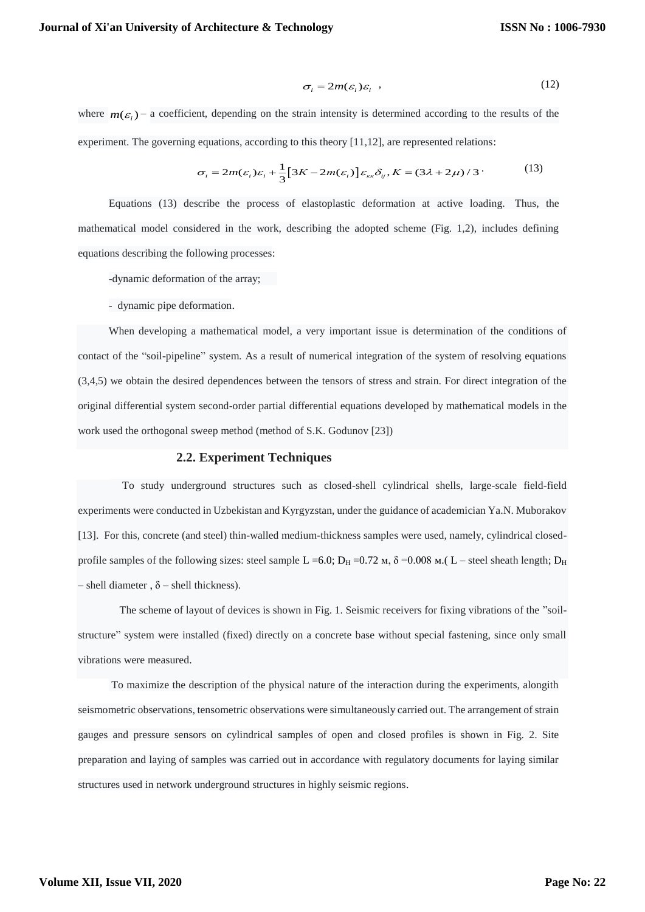$$
\sigma_i = 2m(\varepsilon_i)\varepsilon_i \tag{12}
$$

where  $m(\varepsilon)$  – a coefficient, depending on the strain intensity is determined according to the results of the experiment. The governing equations, according to this theory [11,12], are represented relations:

$$
\sigma_i = 2m(\varepsilon_i)\varepsilon_i + \frac{1}{3}[3K - 2m(\varepsilon_i)]\varepsilon_{\kappa\kappa}\delta_{ij}, K = (3\lambda + 2\mu)/3
$$
 (13)

Equations (13) describe the process of elastoplastic deformation at active loading. Thus, the mathematical model considered in the work, describing the adopted scheme (Fig. 1,2), includes defining equations describing the following processes:

-dynamic deformation of the array;

- dynamic pipe deformation.

When developing a mathematical model, a very important issue is determination of the conditions of contact of the "soil-pipeline" system. As a result of numerical integration of the system of resolving equations (3,4,5) we obtain the desired dependences between the tensors of stress and strain. For direct integration of the original differential system second-order partial differential equations developed by mathematical models in the work used the orthogonal sweep method (method of S.K. Godunov [23])

# **2.2. Experiment Techniques**

 To study underground structures such as closed-shell cylindrical shells, large-scale field-field experiments were conducted in Uzbekistan and Kyrgyzstan, under the guidance of academician Ya.N. Muborakov [13]. For this, concrete (and steel) thin-walled medium-thickness samples were used, namely, cylindrical closedprofile samples of the following sizes: steel sample L =6.0;  $D_H$  =0.72  $M$ ,  $\delta$  =0.008  $M$ .( L – steel sheath length;  $D_H$ – shell diameter,  $\delta$  – shell thickness).

 The scheme of layout of devices is shown in Fig. 1. Seismic receivers for fixing vibrations of the "soilstructure" system were installed (fixed) directly on a concrete base without special fastening, since only small vibrations were measured.

To maximize the description of the physical nature of the interaction during the experiments, alongith seismometric observations, tensometric observations were simultaneously carried out. The arrangement of strain gauges and pressure sensors on cylindrical samples of open and closed profiles is shown in Fig. 2. Site preparation and laying of samples was carried out in accordance with regulatory documents for laying similar structures used in network underground structures in highly seismic regions.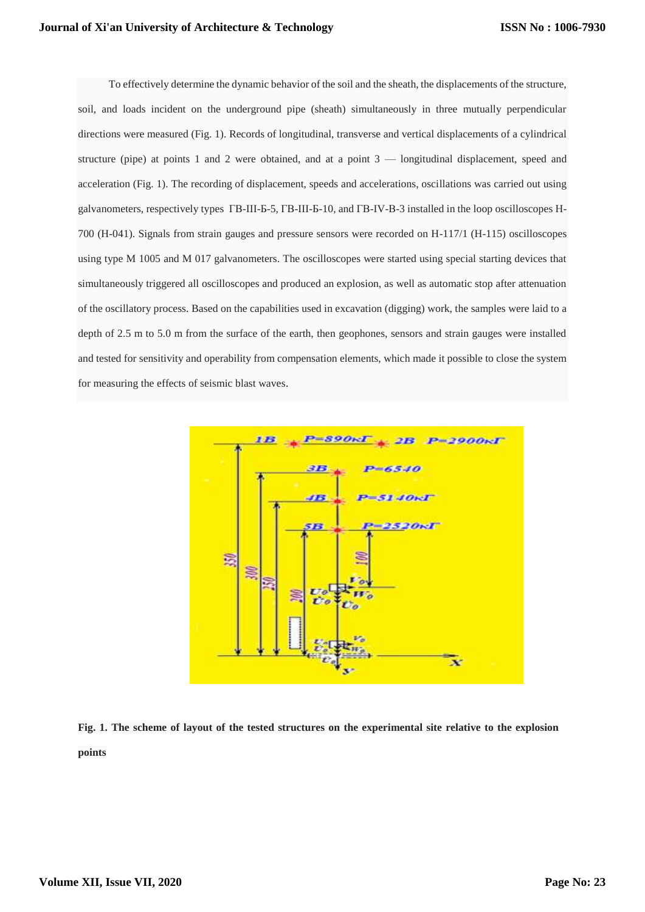To effectively determine the dynamic behavior of the soil and the sheath, the displacements of the structure, soil, and loads incident on the underground pipe (sheath) simultaneously in three mutually perpendicular directions were measured (Fig. 1). Records of longitudinal, transverse and vertical displacements of a cylindrical structure (pipe) at points 1 and 2 were obtained, and at a point 3 — longitudinal displacement, speed and acceleration (Fig. 1). The recording of displacement, speeds and accelerations, oscillations was carried out using galvanometers, respectively types ГВ-III-Б-5, ГВ-III-Б-10, and ГВ-IV-В-3 installed in the loop oscilloscopes Н-700 (H-041). Signals from strain gauges and pressure sensors were recorded on H-117/1 (H-115) oscilloscopes using type M 1005 and M 017 galvanometers. The oscilloscopes were started using special starting devices that simultaneously triggered all oscilloscopes and produced an explosion, as well as automatic stop after attenuation of the oscillatory process. Based on the capabilities used in excavation (digging) work, the samples were laid to a depth of 2.5 m to 5.0 m from the surface of the earth, then geophones, sensors and strain gauges were installed and tested for sensitivity and operability from compensation elements, which made it possible to close the system for measuring the effects of seismic blast waves.



**Fig. 1. The scheme of layout of the tested structures on the experimental site relative to the explosion points**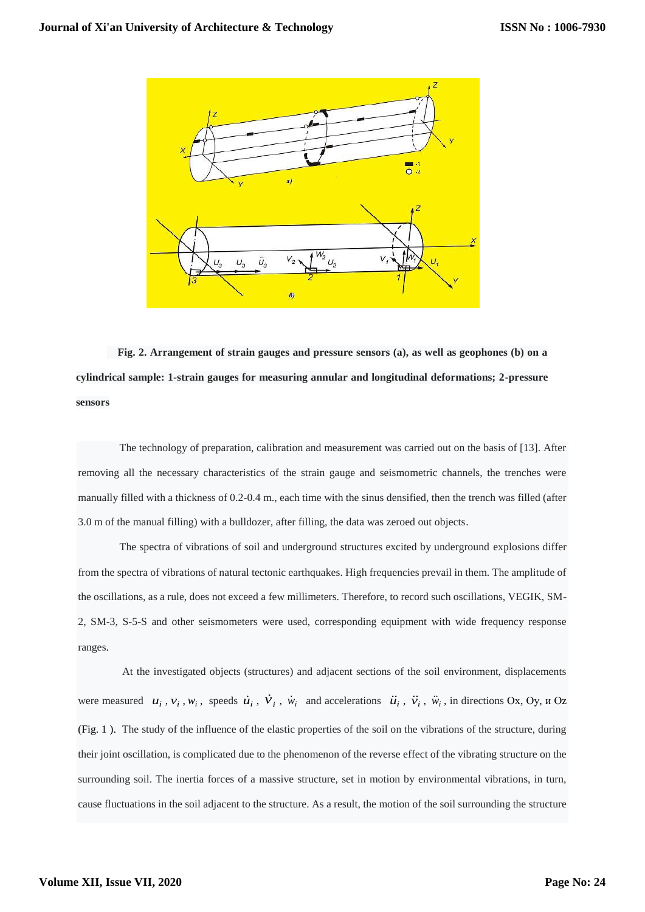

 **Fig. 2. Arrangement of strain gauges and pressure sensors (a), as well as geophones (b) on a cylindrical sample: 1-strain gauges for measuring annular and longitudinal deformations; 2-pressure sensors**

 The technology of preparation, calibration and measurement was carried out on the basis of [13]. After removing all the necessary characteristics of the strain gauge and seismometric channels, the trenches were manually filled with a thickness of 0.2-0.4 m., each time with the sinus densified, then the trench was filled (after 3.0 m of the manual filling) with a bulldozer, after filling, the data was zeroed out objects.

 The spectra of vibrations of soil and underground structures excited by underground explosions differ from the spectra of vibrations of natural tectonic earthquakes. High frequencies prevail in them. The amplitude of the oscillations, as a rule, does not exceed a few millimeters. Therefore, to record such oscillations, VEGIK, SM-2, SM-3, S-5-S and other seismometers were used, corresponding equipment with wide frequency response ranges.

 At the investigated objects (structures) and adjacent sections of the soil environment, displacements were measured  $u_i$ ,  $v_i$ ,  $w_i$ , speeds  $\dot{u}_i$ ,  $\dot{v}_i$ ,  $\dot{w}_i$  and accelerations  $\ddot{u}_i$ ,  $\ddot{v}_i$ ,  $\ddot{w}_i$ , in directions Ox, Oy,  $u$  Oz (Fig. 1 ). The study of the influence of the elastic properties of the soil on the vibrations of the structure, during their joint oscillation, is complicated due to the phenomenon of the reverse effect of the vibrating structure on the surrounding soil. The inertia forces of a massive structure, set in motion by environmental vibrations, in turn, cause fluctuations in the soil adjacent to the structure. As a result, the motion of the soil surrounding the structure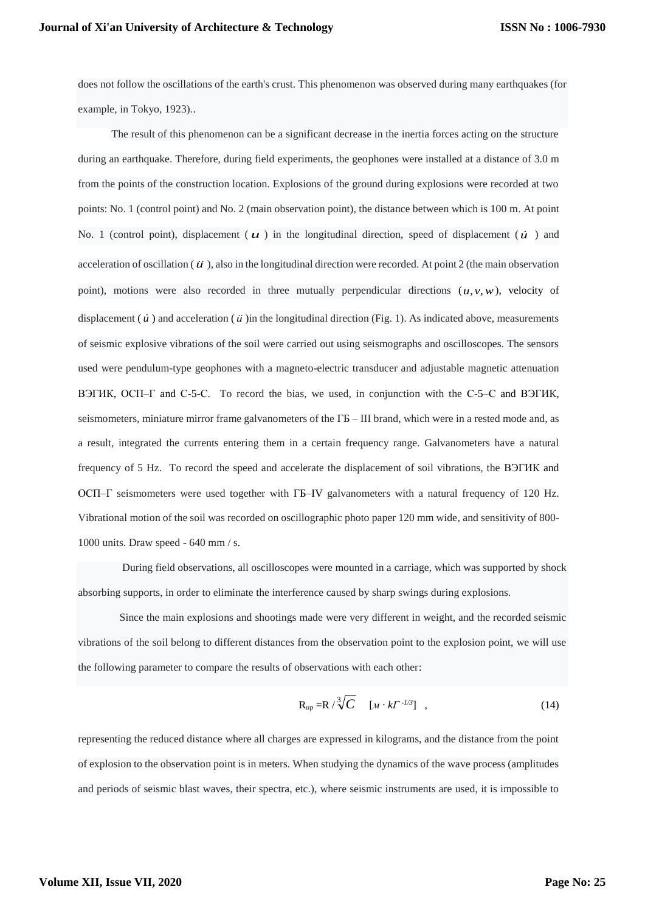does not follow the oscillations of the earth's crust. This phenomenon was observed during many earthquakes (for example, in Tokyo, 1923)..

The result of this phenomenon can be a significant decrease in the inertia forces acting on the structure during an earthquake. Therefore, during field experiments, the geophones were installed at a distance of 3.0 m from the points of the construction location. Explosions of the ground during explosions were recorded at two points: No. 1 (control point) and No. 2 (main observation point), the distance between which is 100 m. At point No. 1 (control point), displacement ( $\boldsymbol{u}$ ) in the longitudinal direction, speed of displacement ( $\boldsymbol{u}$ ) and acceleration of oscillation ( $\vec{u}$ ), also in the longitudinal direction were recorded. At point 2 (the main observation point), motions were also recorded in three mutually perpendicular directions  $(u, v, w)$ , velocity of displacement  $(\vec{u})$  and acceleration  $(\vec{u})$  in the longitudinal direction (Fig. 1). As indicated above, measurements of seismic explosive vibrations of the soil were carried out using seismographs and oscilloscopes. The sensors used were pendulum-type geophones with a magneto-electric transducer and adjustable magnetic attenuation ВЭГИК, ОСП–Г and С-5-С. To record the bias, we used, in conjunction with the С-5–С and ВЭГИК, seismometers, miniature mirror frame galvanometers of the  $\Gamma$ Б – III brand, which were in a rested mode and, as a result, integrated the currents entering them in a certain frequency range. Galvanometers have a natural frequency of 5 Hz. To record the speed and accelerate the displacement of soil vibrations, the ВЭГИК and ОСП–Г seismometers were used together with ГБ–IV galvanometers with a natural frequency of 120 Hz. Vibrational motion of the soil was recorded on oscillographic photo paper 120 mm wide, and sensitivity of 800- 1000 units. Draw speed - 640 mm / s.

 During field observations, all oscilloscopes were mounted in a carriage, which was supported by shock absorbing supports, in order to eliminate the interference caused by sharp swings during explosions.

 Since the main explosions and shootings made were very different in weight, and the recorded seismic vibrations of the soil belong to different distances from the observation point to the explosion point, we will use the following parameter to compare the results of observations with each other:

$$
R_{np} = R / \sqrt[3]{C} \quad [M \cdot kT^{-1/3}] \quad , \tag{14}
$$

representing the reduced distance where all charges are expressed in kilograms, and the distance from the point of explosion to the observation point is in meters. When studying the dynamics of the wave process (amplitudes and periods of seismic blast waves, their spectra, etc.), where seismic instruments are used, it is impossible to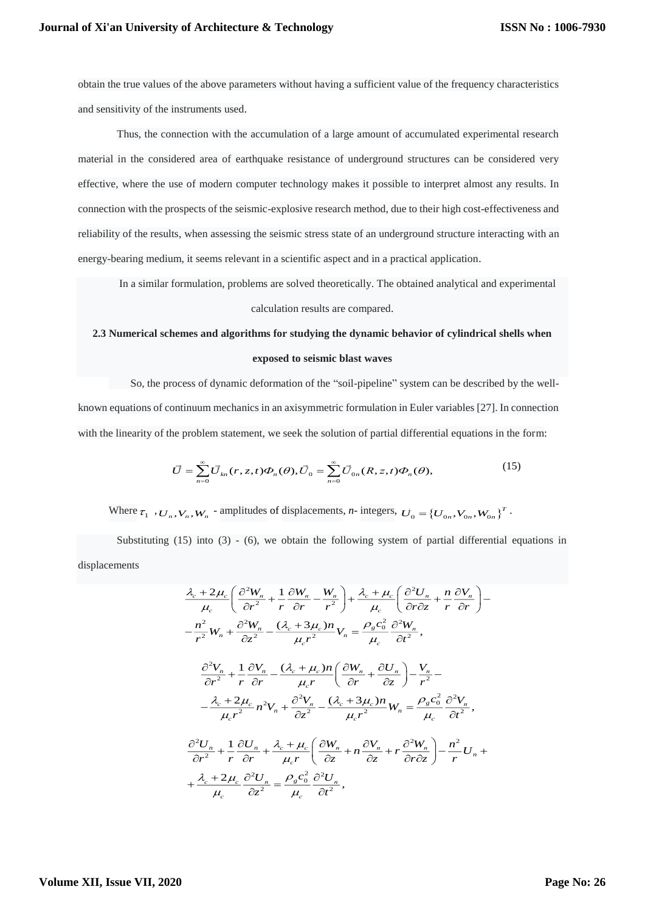obtain the true values of the above parameters without having a sufficient value of the frequency characteristics and sensitivity of the instruments used.

Thus, the connection with the accumulation of a large amount of accumulated experimental research material in the considered area of earthquake resistance of underground structures can be considered very effective, where the use of modern computer technology makes it possible to interpret almost any results. In connection with the prospects of the seismic-explosive research method, due to their high cost-effectiveness and reliability of the results, when assessing the seismic stress state of an underground structure interacting with an energy-bearing medium, it seems relevant in a scientific aspect and in a practical application.

In a similar formulation, problems are solved theoretically. The obtained analytical and experimental

#### calculation results are compared.

# **2.3 Numerical schemes and algorithms for studying the dynamic behavior of cylindrical shells when exposed to seismic blast waves**

 So, the process of dynamic deformation of the "soil-pipeline" system can be described by the wellknown equations of continuum mechanics in an axisymmetric formulation in Euler variables [27]. In connection with the linearity of the problem statement, we seek the solution of partial differential equations in the form:

$$
\vec{U} = \sum_{n=0}^{\infty} \vec{U}_{kn}(r, z, t) \Phi_n(\theta), \vec{U}_0 = \sum_{n=0}^{\infty} \vec{U}_{0n}(R, z, t) \Phi_n(\theta), \tag{15}
$$

Where  $\tau_1, \tau_2, \ldots, \tau_n, W_n$  - amplitudes of displacements, *n*-integers,  $\vec{U}_0 = \{U_{0n}, V_{0n}, W_{0n}\}^T$ .

Substituting  $(15)$  into  $(3)$  -  $(6)$ , we obtain the following system of partial differential equations in displacements

$$
\frac{\lambda_c + 2\mu_c}{\mu_c} \left( \frac{\partial^2 W_n}{\partial r^2} + \frac{1}{r} \frac{\partial W_n}{\partial r} - \frac{W_n}{r^2} \right) + \frac{\lambda_c + \mu_c}{\mu_c} \left( \frac{\partial^2 U_n}{\partial r \partial z} + \frac{n}{r} \frac{\partial V_n}{\partial r} \right) -
$$
  
\n
$$
- \frac{n^2}{r^2} W_n + \frac{\partial^2 W_n}{\partial z^2} - \frac{(\lambda_c + 3\mu_c)n}{\mu_c r^2} V_n = \frac{\rho_g c_0^2}{\mu_c} \frac{\partial^2 W_n}{\partial t^2},
$$
  
\n
$$
\frac{\partial^2 V_n}{\partial r^2} + \frac{1}{r} \frac{\partial V_n}{\partial r} - \frac{(\lambda_c + \mu_c)n}{\mu_c r} \left( \frac{\partial W_n}{\partial r} + \frac{\partial U_n}{\partial z} \right) - \frac{V_n}{r^2} -
$$
  
\n
$$
- \frac{\lambda_c + 2\mu_c}{\mu_c r^2} n^2 V_n + \frac{\partial^2 V_n}{\partial z^2} - \frac{(\lambda_c + 3\mu_c)n}{\mu_c r^2} W_n = \frac{\rho_g c_0^2}{\mu_c} \frac{\partial^2 V_n}{\partial t^2},
$$
  
\n
$$
\frac{\partial^2 U_n}{\partial r^2} + \frac{1}{r} \frac{\partial U_n}{\partial r} + \frac{\lambda_c + \mu_c}{\mu_c r} \left( \frac{\partial W_n}{\partial z} + n \frac{\partial V_n}{\partial z} + r \frac{\partial^2 W_n}{\partial r \partial z} \right) - \frac{n^2}{r} U_n +
$$
  
\n
$$
+ \frac{\lambda_c + 2\mu_c}{\mu_c} \frac{\partial^2 U_n}{\partial z^2} = \frac{\rho_g c_0^2}{\mu_c} \frac{\partial^2 U_n}{\partial t^2},
$$

# **Volume XII, Issue VII, 2020**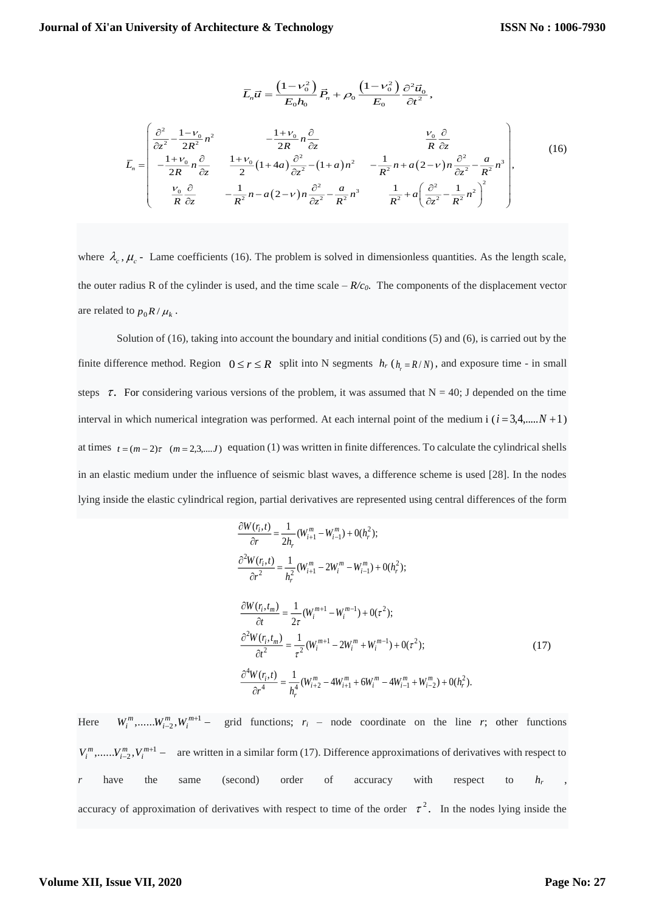$$
\overline{L}_n \overline{u} = \frac{\left(1 - v_0^2\right)}{E_0 h_0} \overline{P}_n + \rho_0 \frac{\left(1 - v_0^2\right)}{E_0} \frac{\partial^2 \overline{u}_0}{\partial t^2},
$$
\n
$$
\overline{L}_n = \begin{pmatrix}\n\frac{\partial^2}{\partial z^2} - \frac{1 - v_0}{2R} n^2 & -\frac{1 + v_0}{2R} n \frac{\partial}{\partial z} & \frac{v_0}{R} \frac{\partial}{\partial z} \\
-\frac{1 + v_0}{2R} n \frac{\partial}{\partial z} & \frac{1 + v_0}{2} \left(1 + 4a\right) \frac{\partial^2}{\partial z^2} - \left(1 + a\right) n^2 & -\frac{1}{R^2} n + a \left(2 - v\right) n \frac{\partial^2}{\partial z^2} - \frac{a}{R^2} n^3 \\
\frac{v_0}{R} \frac{\partial}{\partial z} & -\frac{1}{R^2} n - a \left(2 - v\right) n \frac{\partial^2}{\partial z^2} - \frac{a}{R^2} n^3 & \frac{1}{R^2} + a \left(\frac{\partial^2}{\partial z^2} - \frac{1}{R^2} n^2\right)^2\n\end{pmatrix},
$$
\n(16)

where  $\lambda_c$ ,  $\mu_c$  - Lame coefficients (16). The problem is solved in dimensionless quantities. As the length scale, the outer radius R of the cylinder is used, and the time scale  $-R/c<sub>0</sub>$ . The components of the displacement vector are related to  $p_0 R / \mu_k$ .

 Solution of (16), taking into account the boundary and initial conditions (5) and (6), is carried out by the finite difference method. Region  $0 \le r \le R$  split into N segments  $h_r$  ( $h_r = R/N$ ), and exposure time - in small steps  $\tau$ . For considering various versions of the problem, it was assumed that N = 40; J depended on the time interval in which numerical integration was performed. At each internal point of the medium i  $(i = 3,4,...N + 1)$ at times  $t = (m-2)\tau$   $(m = 2,3,...,J)$  equation (1) was written in finite differences. To calculate the cylindrical shells in an elastic medium under the influence of seismic blast waves, a difference scheme is used [28]. In the nodes lying inside the elastic cylindrical region, partial derivatives are represented using central differences of the form

$$
\frac{\partial W(r_i, t)}{\partial r} = \frac{1}{2h_r} (W_{i+1}^m - W_{i-1}^m) + O(h_r^2);
$$
\n
$$
\frac{\partial^2 W(r_i, t)}{\partial r^2} = \frac{1}{h_r^2} (W_{i+1}^m - 2W_i^m - W_{i-1}^m) + O(h_r^2);
$$
\n
$$
\frac{\partial W(r_i, t_m)}{\partial t} = \frac{1}{2\tau} (W_i^{m+1} - W_i^{m-1}) + O(\tau^2);
$$
\n
$$
\frac{\partial^2 W(r_i, t_m)}{\partial t^2} = \frac{1}{\tau^2} (W_i^{m+1} - 2W_i^m + W_i^{m-1}) + O(\tau^2);
$$
\n
$$
\frac{\partial^4 W(r_i, t)}{\partial r^4} = \frac{1}{h_r^4} (W_{i+2}^m - 4W_{i+1}^m + 6W_i^m - 4W_{i-1}^m + W_{i-2}^m) + O(h_r^2).
$$
\n(17)

Here  $W_i^m, \dots, W_{i-2}^m, W_i^{m+1}$  grid functions;  $r_i$  – node coordinate on the line *r*; other functions  $V_i^m, \dots, V_{i-2}^m, V_i^{m+1}$  – are written in a similar form (17). Difference approximations of derivatives with respect to *r* have the same (second) order of accuracy with respect to *h<sup>r</sup>* , accuracy of approximation of derivatives with respect to time of the order  $\tau^2$ . In the nodes lying inside the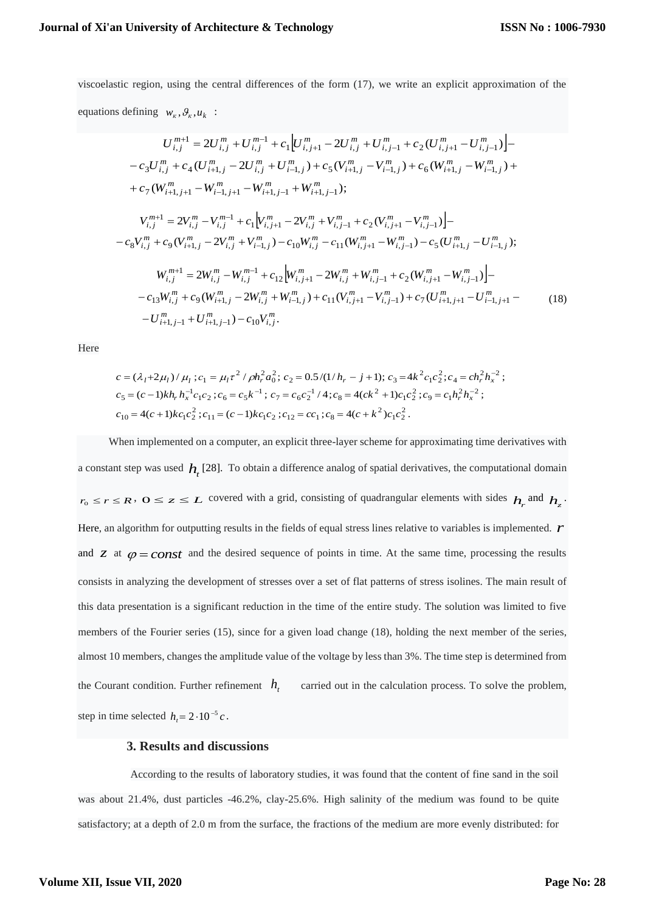viscoelastic region, using the central differences of the form (17), we write an explicit approximation of the equations defining  $w_k$ ,  $\theta_k$ ,  $u_k$ :

$$
U_{i,j}^{m+1} = 2U_{i,j}^{m} + U_{i,j}^{m-1} + c_{1} \Big[ U_{i,j+1}^{m} - 2U_{i,j}^{m} + U_{i,j-1}^{m} + c_{2} (U_{i,j+1}^{m} - U_{i,j-1}^{m}) \Big] - c_{3} U_{i,j}^{m} + c_{4} (U_{i+1,j}^{m} - 2U_{i,j}^{m} + U_{i-1,j}^{m}) + c_{5} (V_{i+1,j}^{m} - V_{i-1,j}^{m}) + c_{6} (W_{i+1,j}^{m} - W_{i-1,j}^{m}) + c_{7} (W_{i+1,j+1}^{m} - W_{i-1,j+1}^{m} - W_{i+1,j-1}^{m} + W_{i+1,j-1}^{m}) ;
$$
\n
$$
V_{i,j}^{m+1} = 2V_{i,j}^{m} - V_{i,j}^{m-1} + c_{1} \Big[ V_{i,j+1}^{m} - 2V_{i,j}^{m} + V_{i,j-1}^{m} + c_{2} (V_{i,j+1}^{m} - V_{i,j-1}^{m}) \Big] - c_{8} V_{i,j}^{m} + c_{9} (V_{i+1,j}^{m} - 2V_{i,j}^{m} + V_{i-1,j}^{m}) - c_{10} W_{i,j}^{m} - c_{11} (W_{i,j+1}^{m} - W_{i,j-1}^{m}) - c_{5} (U_{i+1,j}^{m} - U_{i-1,j}^{m}) ;
$$
\n
$$
W_{i,j}^{m+1} = 2W_{i,j}^{m} - W_{i,j}^{m-1} + c_{12} \Big[ W_{i,j+1}^{m} - 2W_{i,j}^{m} + W_{i,j-1}^{m} + c_{2} (W_{i,j+1}^{m} - W_{i,j-1}^{m}) \Big] - c_{13} W_{i,j}^{m} + c_{9} (W_{i+1,j}^{m} - 2W_{i,j}^{m} + W_{i-1,j}^{m}) + c_{11} (V_{i,j+1}^{m} - V_{i,j-1}^{m}) + c_{7} (U_{i+1,j+1}^{m} - U_{i-1,j+1}^{m} - U_{i+1,j-1}^{m}) - c_{10} V_{i,j}^{m} .
$$
\n(18)

Here

$$
c = (\lambda_1 + 2\mu_l) / \mu_l; c_1 = \mu_l \tau^2 / \rho h_r^2 a_0^2; c_2 = 0.5 / (1/h_r - j + 1); c_3 = 4k^2 c_1 c_2^2; c_4 = ch_r^2 h_x^{-2};
$$
  
\n
$$
c_5 = (c - 1)kh_r h_x^{-1} c_1 c_2; c_6 = c_5 k^{-1}; c_7 = c_6 c_2^{-1} / 4; c_8 = 4(ck^2 + 1)c_1 c_2^2; c_9 = c_1 h_r^2 h_x^{-2};
$$
  
\n
$$
c_{10} = 4(c + 1)kc_1 c_2^2; c_{11} = (c - 1)kc_1 c_2; c_{12} = cc_1; c_8 = 4(c + k^2)c_1 c_2^2.
$$

When implemented on a computer, an explicit three-layer scheme for approximating time derivatives with a constant step was used  $h<sub>t</sub>$  [28]. To obtain a difference analog of spatial derivatives, the computational domain  $r_0 \leq r \leq R$ ,  $0 \leq z \leq L$  covered with a grid, consisting of quadrangular elements with sides  $h_r$  and  $h_z$ . Here, an algorithm for outputting results in the fields of equal stress lines relative to variables is implemented. *r* and *z* at  $\varphi = const$  and the desired sequence of points in time. At the same time, processing the results consists in analyzing the development of stresses over a set of flat patterns of stress isolines. The main result of this data presentation is a significant reduction in the time of the entire study. The solution was limited to five members of the Fourier series (15), since for a given load change (18), holding the next member of the series, almost 10 members, changes the amplitude value of the voltage by less than 3%. The time step is determined from the Courant condition. Further refinement  $h_t$ carried out in the calculation process. To solve the problem, step in time selected  $h_t = 2 \cdot 10^{-5} c$ .

# **3. Results and discussions**

According to the results of laboratory studies, it was found that the content of fine sand in the soil was about 21.4%, dust particles -46.2%, clay-25.6%. High salinity of the medium was found to be quite satisfactory; at a depth of 2.0 m from the surface, the fractions of the medium are more evenly distributed: for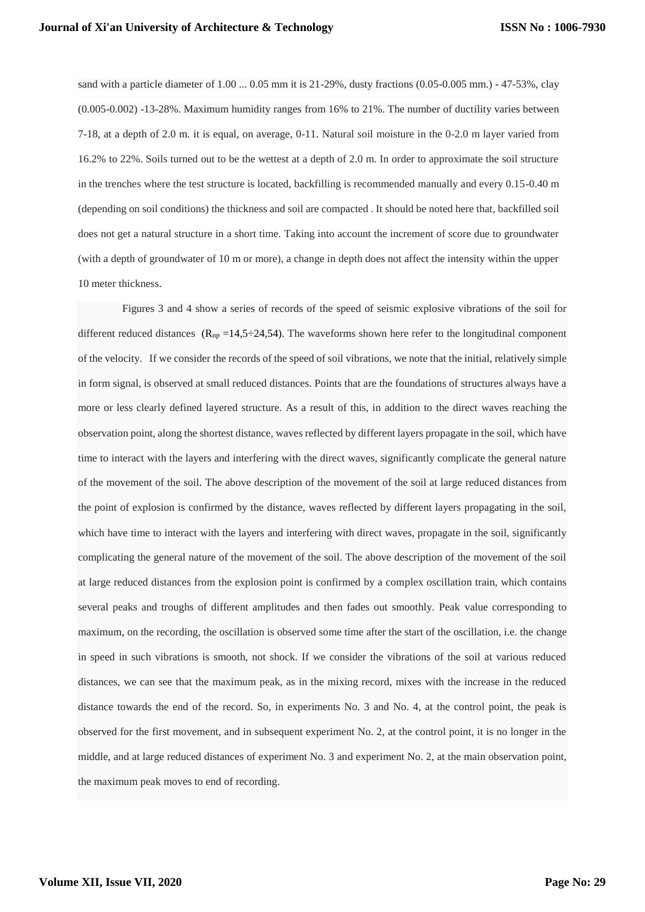sand with a particle diameter of 1.00 ... 0.05 mm it is 21-29%, dusty fractions (0.05-0.005 mm.) - 47-53%, clay (0.005-0.002) -13-28%. Maximum humidity ranges from 16% to 21%. The number of ductility varies between 7-18, at a depth of 2.0 m. it is equal, on average, 0-11. Natural soil moisture in the 0-2.0 m layer varied from 16.2% to 22%. Soils turned out to be the wettest at a depth of 2.0 m. In order to approximate the soil structure in the trenches where the test structure is located, backfilling is recommended manually and every 0.15-0.40 m (depending on soil conditions) the thickness and soil are compacted . It should be noted here that, backfilled soil does not get a natural structure in a short time. Taking into account the increment of score due to groundwater (with a depth of groundwater of 10 m or more), a change in depth does not affect the intensity within the upper 10 meter thickness.

 Figures 3 and 4 show a series of records of the speed of seismic explosive vibrations of the soil for different reduced distances ( $R_{np}$  =14,5÷24,54). The waveforms shown here refer to the longitudinal component of the velocity. If we consider the records of the speed of soil vibrations, we note that the initial, relatively simple in form signal, is observed at small reduced distances. Points that are the foundations of structures always have a more or less clearly defined layered structure. As a result of this, in addition to the direct waves reaching the observation point, along the shortest distance, waves reflected by different layers propagate in the soil, which have time to interact with the layers and interfering with the direct waves, significantly complicate the general nature of the movement of the soil. The above description of the movement of the soil at large reduced distances from the point of explosion is confirmed by the distance, waves reflected by different layers propagating in the soil, which have time to interact with the layers and interfering with direct waves, propagate in the soil, significantly complicating the general nature of the movement of the soil. The above description of the movement of the soil at large reduced distances from the explosion point is confirmed by a complex oscillation train, which contains several peaks and troughs of different amplitudes and then fades out smoothly. Peak value corresponding to maximum, on the recording, the oscillation is observed some time after the start of the oscillation, i.e. the change in speed in such vibrations is smooth, not shock. If we consider the vibrations of the soil at various reduced distances, we can see that the maximum peak, as in the mixing record, mixes with the increase in the reduced distance towards the end of the record. So, in experiments No. 3 and No. 4, at the control point, the peak is observed for the first movement, and in subsequent experiment No. 2, at the control point, it is no longer in the middle, and at large reduced distances of experiment No. 3 and experiment No. 2, at the main observation point, the maximum peak moves to end of recording.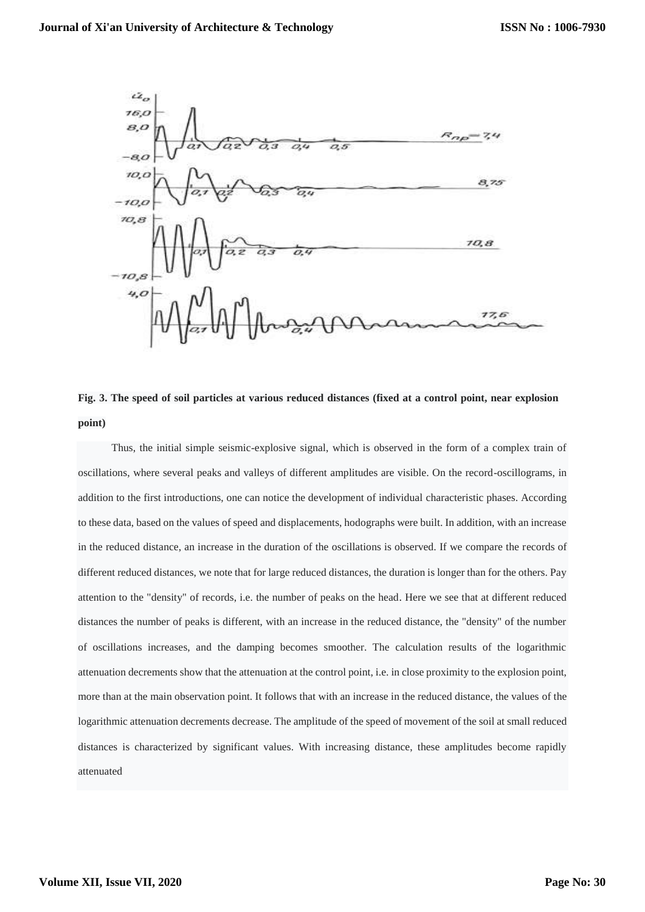

**Fig. 3. The speed of soil particles at various reduced distances (fixed at a control point, near explosion point)**

Thus, the initial simple seismic-explosive signal, which is observed in the form of a complex train of oscillations, where several peaks and valleys of different amplitudes are visible. On the record-oscillograms, in addition to the first introductions, one can notice the development of individual characteristic phases. According to these data, based on the values of speed and displacements, hodographs were built. In addition, with an increase in the reduced distance, an increase in the duration of the oscillations is observed. If we compare the records of different reduced distances, we note that for large reduced distances, the duration is longer than for the others. Pay attention to the "density" of records, i.e. the number of peaks on the head. Here we see that at different reduced distances the number of peaks is different, with an increase in the reduced distance, the "density" of the number of oscillations increases, and the damping becomes smoother. The calculation results of the logarithmic attenuation decrements show that the attenuation at the control point, i.e. in close proximity to the explosion point, more than at the main observation point. It follows that with an increase in the reduced distance, the values of the logarithmic attenuation decrements decrease. The amplitude of the speed of movement of the soil at small reduced distances is characterized by significant values. With increasing distance, these amplitudes become rapidly attenuated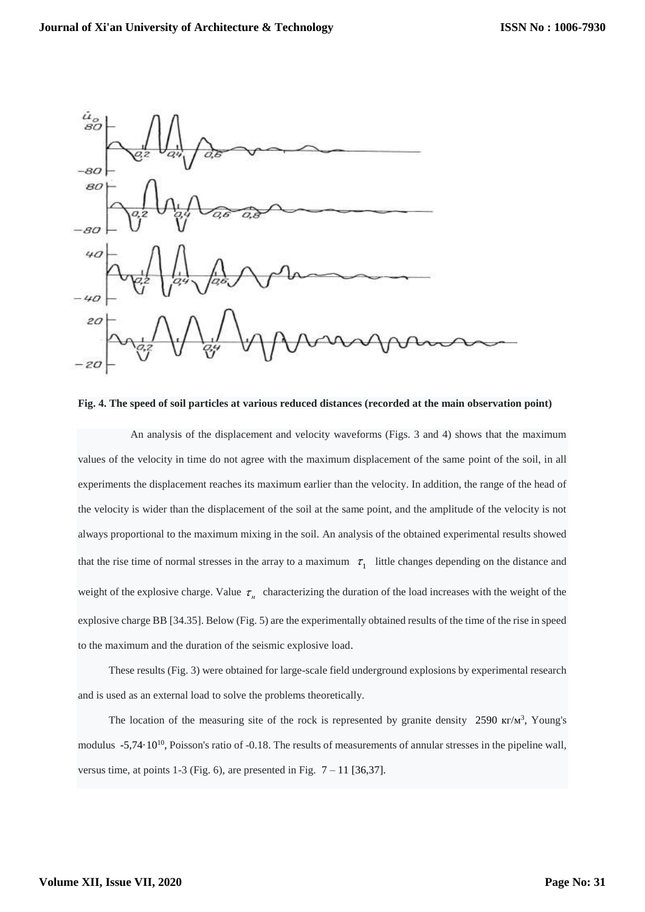

**Fig. 4. The speed of soil particles at various reduced distances (recorded at the main observation point)**

 An analysis of the displacement and velocity waveforms (Figs. 3 and 4) shows that the maximum values of the velocity in time do not agree with the maximum displacement of the same point of the soil, in all experiments the displacement reaches its maximum earlier than the velocity. In addition, the range of the head of the velocity is wider than the displacement of the soil at the same point, and the amplitude of the velocity is not always proportional to the maximum mixing in the soil. An analysis of the obtained experimental results showed that the rise time of normal stresses in the array to a maximum  $\tau_1$  little changes depending on the distance and weight of the explosive charge. Value  $\tau_{\mu}$  characterizing the duration of the load increases with the weight of the explosive charge BB [34.35]. Below (Fig. 5) are the experimentally obtained results of the time of the rise in speed to the maximum and the duration of the seismic explosive load.

These results (Fig. 3) were obtained for large-scale field underground explosions by experimental research and is used as an external load to solve the problems theoretically.

The location of the measuring site of the rock is represented by granite density 2590  $\kappa r/m^3$ , Young's modulus -5,74·10<sup>10</sup>, Poisson's ratio of -0.18. The results of measurements of annular stresses in the pipeline wall, versus time, at points 1-3 (Fig. 6), are presented in Fig.  $7 - 11$  [36,37].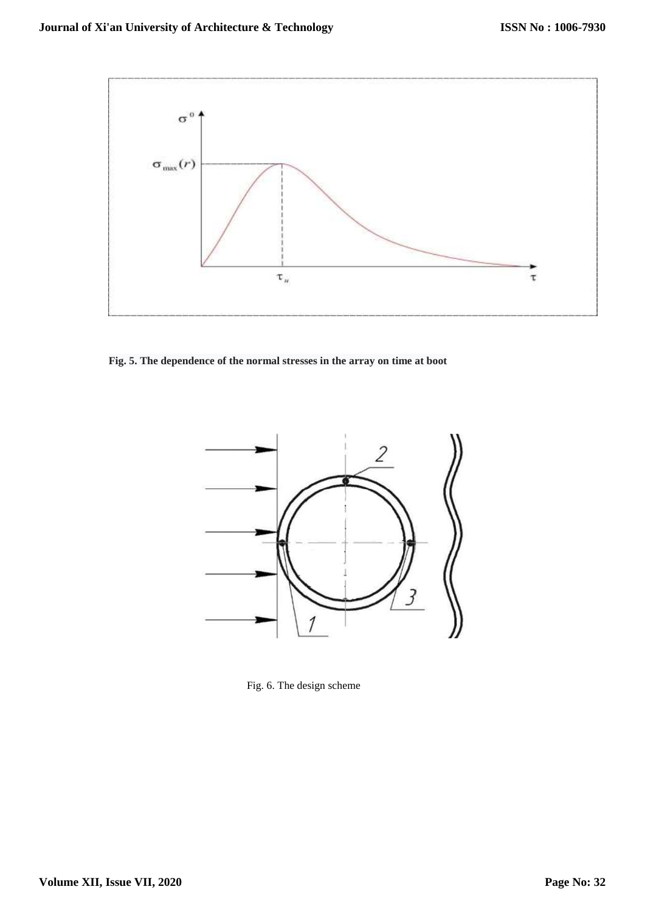

**Fig. 5. The dependence of the normal stresses in the array on time at boot**



Fig. 6. The design scheme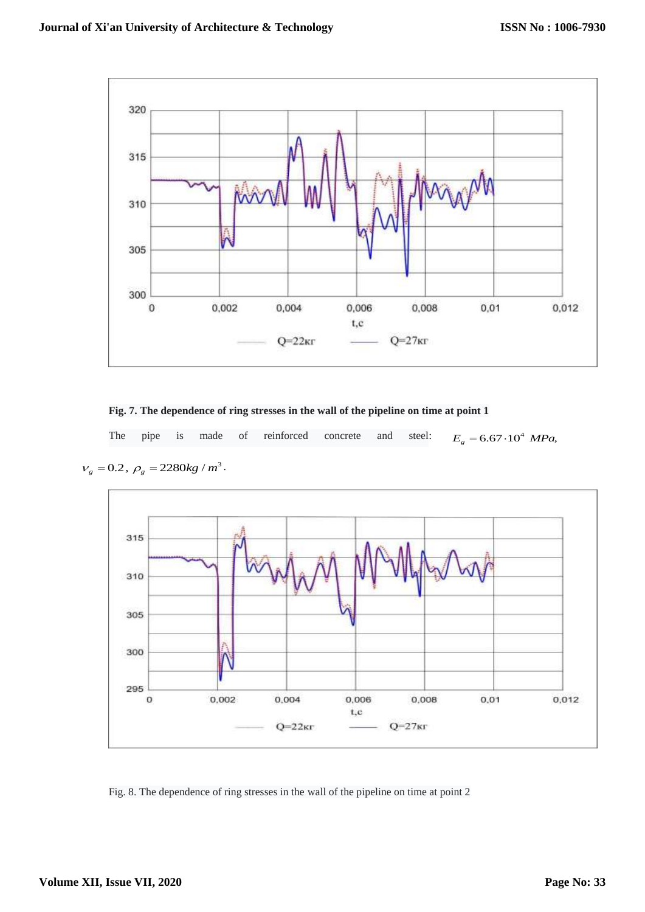

**Fig. 7. The dependence of ring stresses in the wall of the pipeline on time at point 1** 

The pipe is made of reinforced concrete and steel:  $E<sub>g</sub> = 6.67 \cdot 10<sup>4</sup>$  *MPa*,



 $v_g = 0.2$ ,  $\rho_g = 2280 kg / m^3$ .

Fig. 8. The dependence of ring stresses in the wall of the pipeline on time at point 2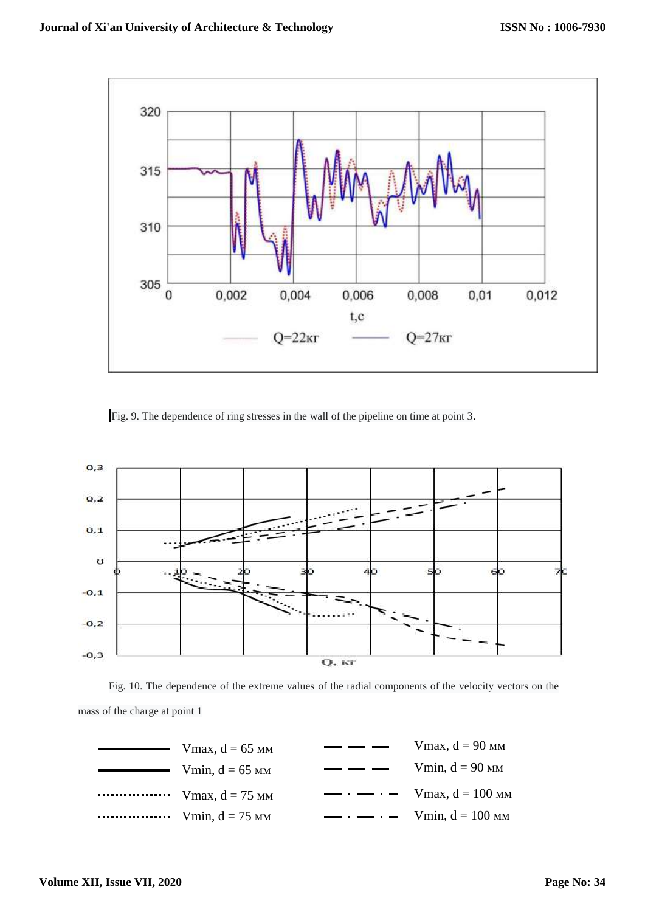

Fig. 9. The dependence of ring stresses in the wall of the pipeline on time at point 3.





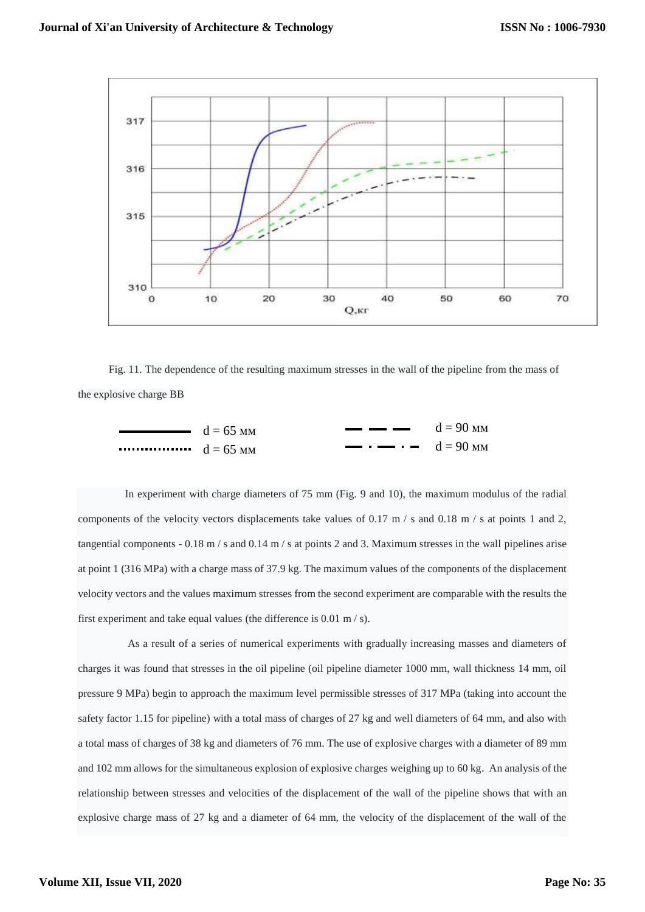

Fig. 11. The dependence of the resulting maximum stresses in the wall of the pipeline from the mass of the explosive charge BB

$$
d = 65 \text{ mm}
$$
\n
$$
d = 65 \text{ mm}
$$
\n
$$
d = 65 \text{ mm}
$$
\n
$$
d = 65 \text{ mm}
$$
\n
$$
d = 65 \text{ mm}
$$
\n
$$
d = 90 \text{ mm}
$$

 In experiment with charge diameters of 75 mm (Fig. 9 and 10), the maximum modulus of the radial components of the velocity vectors displacements take values of 0.17 m / s and 0.18 m / s at points 1 and 2, tangential components - 0.18 m / s and 0.14 m / s at points 2 and 3. Maximum stresses in the wall pipelines arise at point 1 (316 MPa) with a charge mass of 37.9 kg. The maximum values of the components of the displacement velocity vectors and the values maximum stresses from the second experiment are comparable with the results the first experiment and take equal values (the difference is 0.01 m / s).

 As a result of a series of numerical experiments with gradually increasing masses and diameters of charges it was found that stresses in the oil pipeline (oil pipeline diameter 1000 mm, wall thickness 14 mm, oil pressure 9 MPa) begin to approach the maximum level permissible stresses of 317 MPa (taking into account the safety factor 1.15 for pipeline) with a total mass of charges of 27 kg and well diameters of 64 mm, and also with a total mass of charges of 38 kg and diameters of 76 mm. The use of explosive charges with a diameter of 89 mm and 102 mm allows for the simultaneous explosion of explosive charges weighing up to 60 kg. An analysis of the relationship between stresses and velocities of the displacement of the wall of the pipeline shows that with an explosive charge mass of 27 kg and a diameter of 64 mm, the velocity of the displacement of the wall of the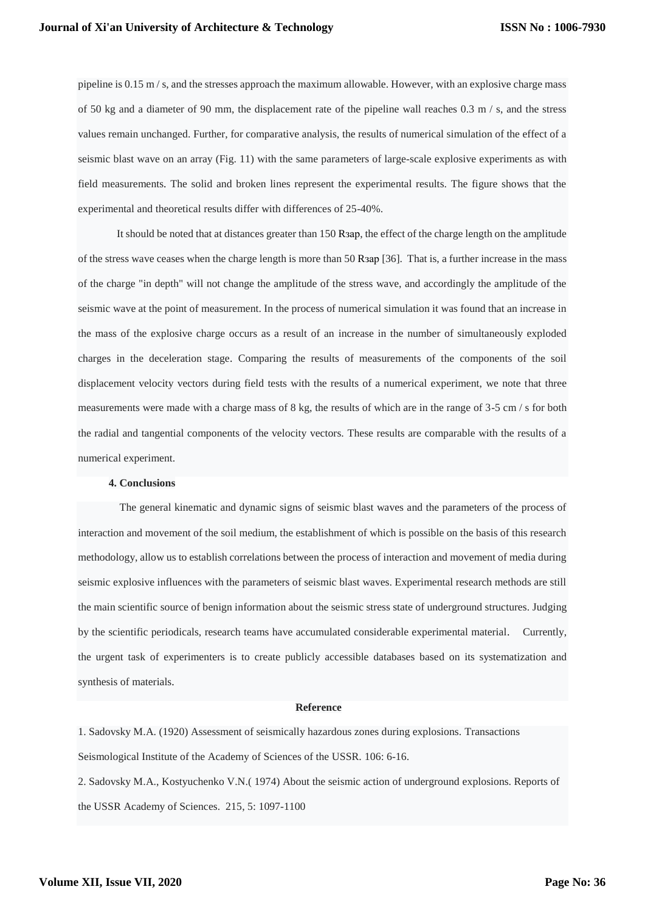pipeline is 0.15 m / s, and the stresses approach the maximum allowable. However, with an explosive charge mass of 50 kg and a diameter of 90 mm, the displacement rate of the pipeline wall reaches 0.3 m / s, and the stress values remain unchanged. Further, for comparative analysis, the results of numerical simulation of the effect of a seismic blast wave on an array (Fig. 11) with the same parameters of large-scale explosive experiments as with field measurements. The solid and broken lines represent the experimental results. The figure shows that the experimental and theoretical results differ with differences of 25-40%.

 It should be noted that at distances greater than 150 Rзар, the effect of the charge length on the amplitude of the stress wave ceases when the charge length is more than 50 Rзар [36]. That is, a further increase in the mass of the charge "in depth" will not change the amplitude of the stress wave, and accordingly the amplitude of the seismic wave at the point of measurement. In the process of numerical simulation it was found that an increase in the mass of the explosive charge occurs as a result of an increase in the number of simultaneously exploded charges in the deceleration stage. Comparing the results of measurements of the components of the soil displacement velocity vectors during field tests with the results of a numerical experiment, we note that three measurements were made with a charge mass of 8 kg, the results of which are in the range of 3-5 cm / s for both the radial and tangential components of the velocity vectors. These results are comparable with the results of a numerical experiment.

#### **4. Conclusions**

 The general kinematic and dynamic signs of seismic blast waves and the parameters of the process of interaction and movement of the soil medium, the establishment of which is possible on the basis of this research methodology, allow us to establish correlations between the process of interaction and movement of media during seismic explosive influences with the parameters of seismic blast waves. Experimental research methods are still the main scientific source of benign information about the seismic stress state of underground structures. Judging by the scientific periodicals, research teams have accumulated considerable experimental material. Currently, the urgent task of experimenters is to create publicly accessible databases based on its systematization and synthesis of materials.

#### **Reference**

1. Sadovsky M.A. (1920) Assessment of seismically hazardous zones during explosions. Transactions Seismological Institute of the Academy of Sciences of the USSR. 106: 6-16.

2. Sadovsky M.A., Kostyuchenko V.N.( 1974) About the seismic action of underground explosions. Reports of the USSR Academy of Sciences. 215, 5: 1097-1100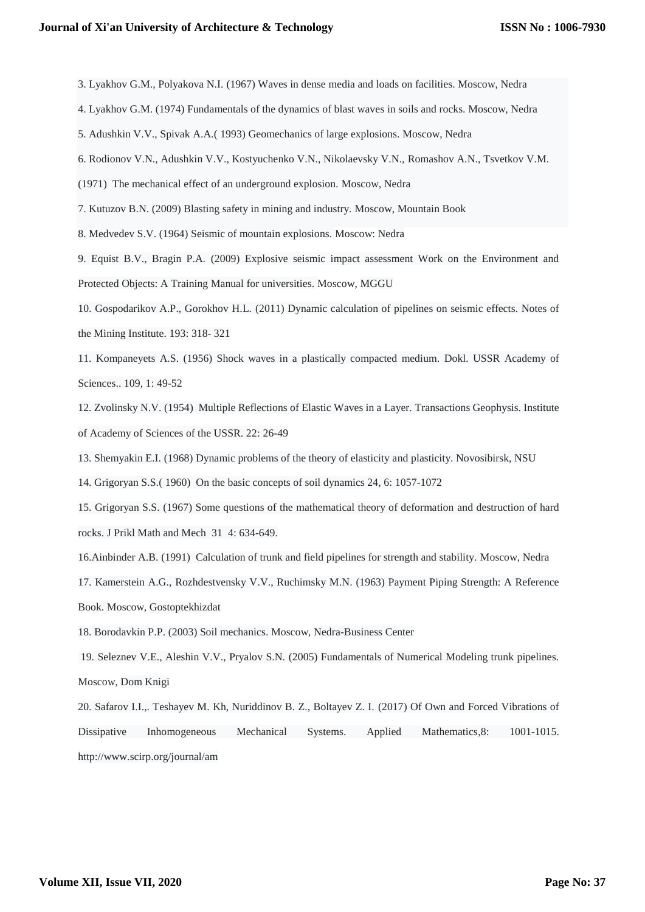- 3. Lyakhov G.M., Polyakova N.I. (1967) Waves in dense media and loads on facilities. Moscow, Nedra
- 4. Lyakhov G.M. (1974) Fundamentals of the dynamics of blast waves in soils and rocks. Moscow, Nedra
- 5. Adushkin V.V., Spivak A.A.( 1993) Geomechanics of large explosions. Moscow, Nedra
- 6. Rodionov V.N., Adushkin V.V., Kostyuchenko V.N., Nikolaevsky V.N., Romashov A.N., Tsvetkov V.M.
- (1971) The mechanical effect of an underground explosion. Moscow, Nedra
- 7. Kutuzov B.N. (2009) Blasting safety in mining and industry. Moscow, Mountain Book
- 8. Medvedev S.V. (1964) Seismic of mountain explosions. Moscow: Nedra

9. Equist B.V., Bragin P.A. (2009) Explosive seismic impact assessment Work on the Environment and Protected Objects: A Training Manual for universities. Moscow, MGGU

10. Gospodarikov A.P., Gorokhov H.L. (2011) Dynamic calculation of pipelines on seismic effects. Notes of the Mining Institute. 193: 318- 321

11. Kompaneyets A.S. (1956) Shock waves in a plastically compacted medium. Dokl. USSR Academy of Sciences.. 109, 1: 49-52

12. Zvolinsky N.V. (1954) Multiple Reflections of Elastic Waves in a Layer. Transactions Geophysis. Institute of Academy of Sciences of the USSR. 22: 26-49

- 13. Shemyakin E.I. (1968) Dynamic problems of the theory of elasticity and plasticity. Novosibirsk, NSU
- 14. Grigoryan S.S.( 1960) On the basic concepts of soil dynamics 24, 6: 1057-1072
- 15. Grigoryan S.S. (1967) Some questions of the mathematical theory of deformation and destruction of hard rocks. J Prikl Math and Mech 31 4: 634-649.
- 16.Ainbinder A.B. (1991) Calculation of trunk and field pipelines for strength and stability. Moscow, Nedra

17. Kamerstein A.G., Rozhdestvensky V.V., Ruchimsky M.N. (1963) Payment Piping Strength: A Reference Book. Moscow, Gostoptekhizdat

18. Borodavkin P.P. (2003) Soil mechanics. Moscow, Nedra-Business Center

19. Seleznev V.E., Aleshin V.V., Pryalov S.N. (2005) Fundamentals of Numerical Modeling trunk pipelines. Moscow, Dom Knigi

20. Safarov I.I.,. Teshayev M. Kh, Nuriddinov B. Z., Boltayev Z. I. (2017) Of Own and Forced Vibrations of Dissipative Inhomogeneous Mechanical Systems. Applied Mathematics,8: 1001-1015. http://www.scirp.org/journal/am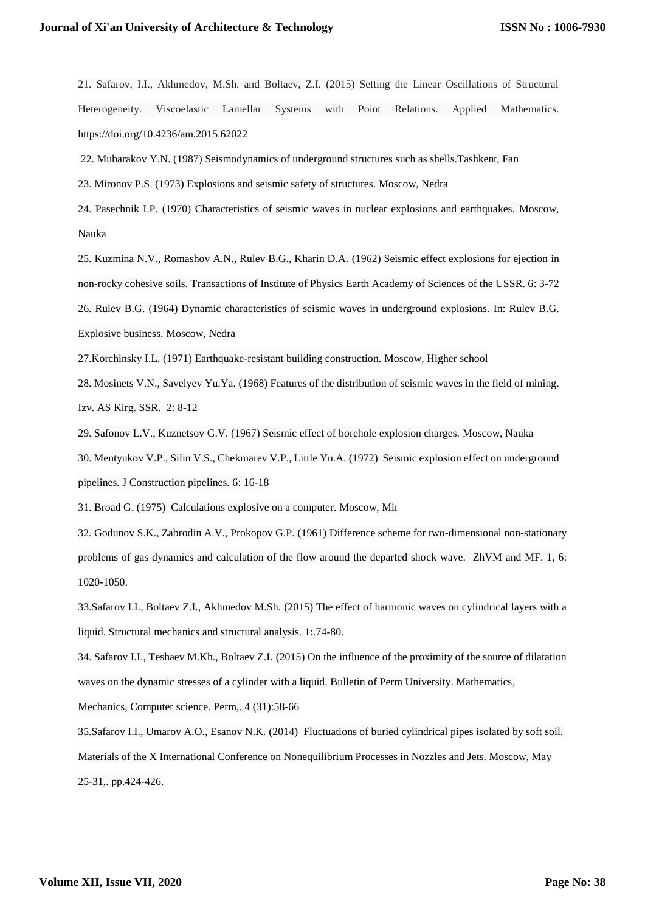21. Safarov, I.I., Akhmedov, M.Sh. and Boltaev, Z.I. (2015) Setting the Linear Oscillations of Structural Heterogeneity. Viscoelastic Lamellar Systems with Point Relations. Applied Mathematics. <https://doi.org/10.4236/am.2015.62022>

22. Mubarakov Y.N. (1987) Seismodynamics of underground structures such as shells.Tashkent, Fan

23. Mironov P.S. (1973) Explosions and seismic safety of structures. Moscow, Nedra

24. Pasechnik I.P. (1970) Characteristics of seismic waves in nuclear explosions and earthquakes. Moscow, Nauka

25. Kuzmina N.V., Romashov A.N., Rulev B.G., Kharin D.A. (1962) Seismic effect explosions for ejection in non-rocky cohesive soils. Transactions of Institute of Physics Earth Academy of Sciences of the USSR. 6: 3-72 26. Rulev B.G. (1964) Dynamic characteristics of seismic waves in underground explosions. In: Rulev B.G. Explosive business. Moscow, Nedra

27.Korchinsky I.L. (1971) Earthquake-resistant building construction. Moscow, Higher school

28. Mosinets V.N., Savelyev Yu.Ya. (1968) Features of the distribution of seismic waves in the field of mining. Izv. AS Kirg. SSR. 2: 8-12

29. Safonov L.V., Kuznetsov G.V. (1967) Seismic effect of borehole explosion charges. Moscow, Nauka

30. Mentyukov V.P., Silin V.S., Chekmarev V.P., Little Yu.A. (1972) Seismic explosion effect on underground

pipelines. J Construction pipelines. 6: 16-18

31. Broad G. (1975) Calculations explosive on a computer. Moscow, Mir

32. Godunov S.K., Zabrodin A.V., Prokopov G.P. (1961) Difference scheme for two-dimensional non-stationary problems of gas dynamics and calculation of the flow around the departed shock wave. ZhVM and MF. 1, 6: 1020-1050.

33.Safarov I.I., Boltaev Z.I., Akhmedov M.Sh. (2015) The effect of harmonic waves on cylindrical layers with a liquid. Structural mechanics and structural analysis. 1:.74-80.

34. Safarov I.I., Teshaev M.Kh., Boltaev Z.I. (2015) On the influence of the proximity of the source of dilatation waves on the dynamic stresses of a cylinder with a liquid. Bulletin of Perm University. Mathematics,

Mechanics, Computer science. Perm,. 4 (31):58-66

35.Safarov I.I., Umarov A.O., Esanov N.K. (2014) Fluctuations of buried cylindrical pipes isolated by soft soil. Materials of the X International Conference on Nonequilibrium Processes in Nozzles and Jets. Moscow, May 25-31,. pp.424-426.